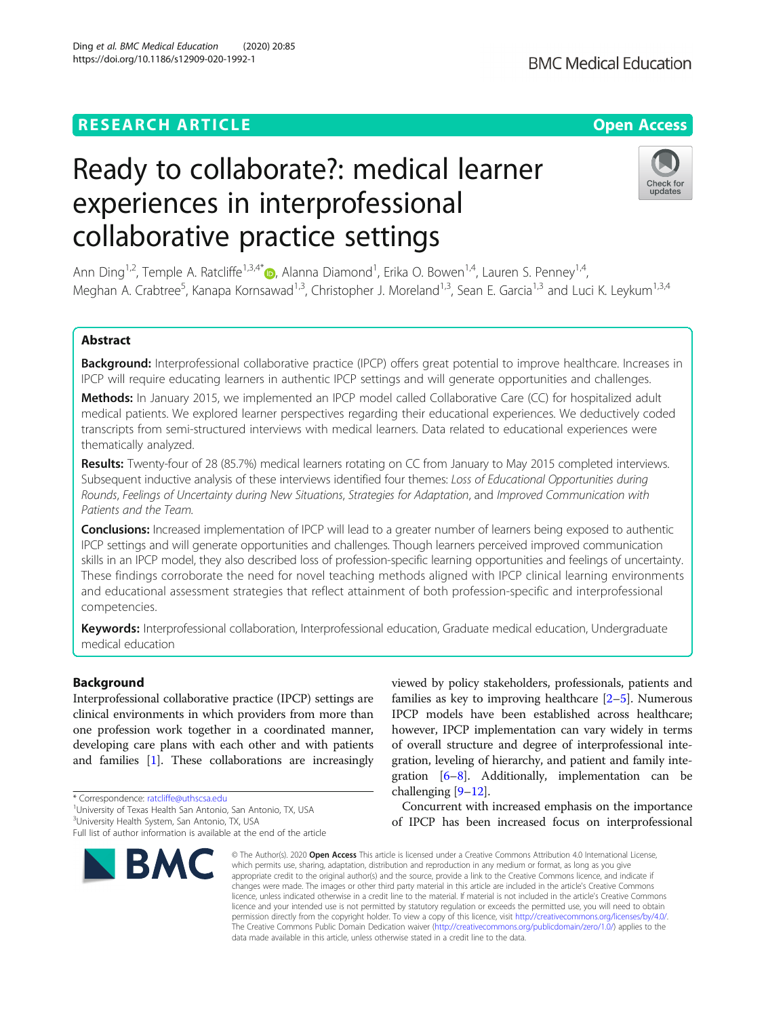# **RESEARCH ARTICLE Example 2014 12:30 The Contract of Contract ACCESS**

# Ready to collaborate?: medical learner experiences in interprofessional collaborative practice settings

Ann Ding<sup>1,2</sup>, Temple A. Ratcliffe<sup>1,3,4[\\*](http://orcid.org/0000-0001-7946-338X)</sup>®, Alanna Diamond<sup>1</sup>, Erika O. Bowen<sup>1,4</sup>, Lauren S. Penney<sup>1,4</sup>, Meghan A. Crabtree<sup>5</sup>, Kanapa Kornsawad<sup>1,3</sup>, Christopher J. Moreland<sup>1,3</sup>, Sean E. Garcia<sup>1,3</sup> and Luci K. Leykum<sup>1,3,4</sup>

# Abstract

Background: Interprofessional collaborative practice (IPCP) offers great potential to improve healthcare. Increases in IPCP will require educating learners in authentic IPCP settings and will generate opportunities and challenges.

Methods: In January 2015, we implemented an IPCP model called Collaborative Care (CC) for hospitalized adult medical patients. We explored learner perspectives regarding their educational experiences. We deductively coded transcripts from semi-structured interviews with medical learners. Data related to educational experiences were thematically analyzed.

Results: Twenty-four of 28 (85.7%) medical learners rotating on CC from January to May 2015 completed interviews. Subsequent inductive analysis of these interviews identified four themes: Loss of Educational Opportunities during Rounds, Feelings of Uncertainty during New Situations, Strategies for Adaptation, and Improved Communication with Patients and the Team.

**Conclusions:** Increased implementation of IPCP will lead to a greater number of learners being exposed to authentic IPCP settings and will generate opportunities and challenges. Though learners perceived improved communication skills in an IPCP model, they also described loss of profession-specific learning opportunities and feelings of uncertainty. These findings corroborate the need for novel teaching methods aligned with IPCP clinical learning environments and educational assessment strategies that reflect attainment of both profession-specific and interprofessional competencies.

Keywords: Interprofessional collaboration, Interprofessional education, Graduate medical education, Undergraduate medical education

# Background

Interprofessional collaborative practice (IPCP) settings are clinical environments in which providers from more than one profession work together in a coordinated manner, developing care plans with each other and with patients and families [\[1\]](#page-5-0). These collaborations are increasingly

\* Correspondence: [ratcliffe@uthscsa.edu](mailto:ratcliffe@uthscsa.edu) <sup>1</sup>

<sup>1</sup> University of Texas Health San Antonio, San Antonio, TX, USA

<sup>3</sup>University Health System, San Antonio, TX, USA



viewed by policy stakeholders, professionals, patients and families as key to improving healthcare  $[2-5]$  $[2-5]$  $[2-5]$  $[2-5]$  $[2-5]$ . Numerous IPCP models have been established across healthcare; however, IPCP implementation can vary widely in terms of overall structure and degree of interprofessional integration, leveling of hierarchy, and patient and family integration [\[6](#page-5-0)–[8](#page-5-0)]. Additionally, implementation can be challenging [[9](#page-5-0)–[12](#page-6-0)].

Concurrent with increased emphasis on the importance of IPCP has been increased focus on interprofessional

© The Author(s), 2020 **Open Access** This article is licensed under a Creative Commons Attribution 4.0 International License, which permits use, sharing, adaptation, distribution and reproduction in any medium or format, as long as you give appropriate credit to the original author(s) and the source, provide a link to the Creative Commons licence, and indicate if changes were made. The images or other third party material in this article are included in the article's Creative Commons licence, unless indicated otherwise in a credit line to the material. If material is not included in the article's Creative Commons licence and your intended use is not permitted by statutory regulation or exceeds the permitted use, you will need to obtain permission directly from the copyright holder. To view a copy of this licence, visit [http://creativecommons.org/licenses/by/4.0/.](http://creativecommons.org/licenses/by/4.0/) The Creative Commons Public Domain Dedication waiver [\(http://creativecommons.org/publicdomain/zero/1.0/](http://creativecommons.org/publicdomain/zero/1.0/)) applies to the data made available in this article, unless otherwise stated in a credit line to the data.



Full list of author information is available at the end of the article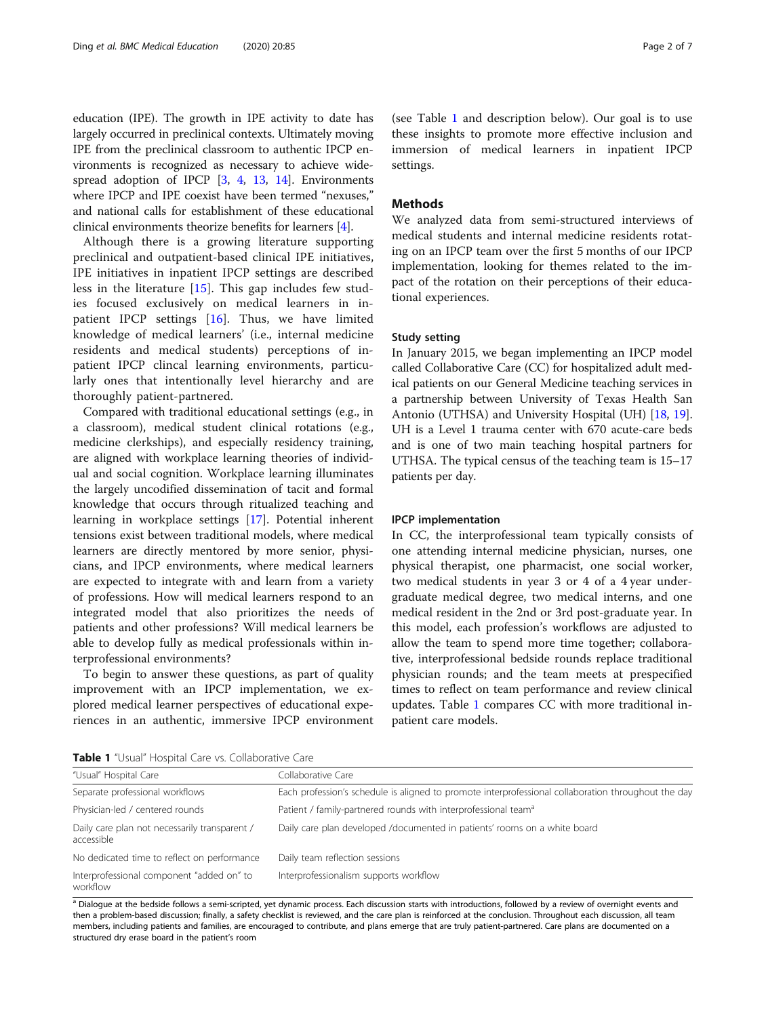education (IPE). The growth in IPE activity to date has largely occurred in preclinical contexts. Ultimately moving IPE from the preclinical classroom to authentic IPCP environments is recognized as necessary to achieve widespread adoption of IPCP [\[3,](#page-5-0) [4](#page-5-0), [13](#page-6-0), [14\]](#page-6-0). Environments where IPCP and IPE coexist have been termed "nexuses," and national calls for establishment of these educational clinical environments theorize benefits for learners [[4\]](#page-5-0).

Although there is a growing literature supporting preclinical and outpatient-based clinical IPE initiatives, IPE initiatives in inpatient IPCP settings are described less in the literature [[15\]](#page-6-0). This gap includes few studies focused exclusively on medical learners in inpatient IPCP settings [\[16](#page-6-0)]. Thus, we have limited knowledge of medical learners' (i.e., internal medicine residents and medical students) perceptions of inpatient IPCP clincal learning environments, particularly ones that intentionally level hierarchy and are thoroughly patient-partnered.

Compared with traditional educational settings (e.g., in a classroom), medical student clinical rotations (e.g., medicine clerkships), and especially residency training, are aligned with workplace learning theories of individual and social cognition. Workplace learning illuminates the largely uncodified dissemination of tacit and formal knowledge that occurs through ritualized teaching and learning in workplace settings [\[17](#page-6-0)]. Potential inherent tensions exist between traditional models, where medical learners are directly mentored by more senior, physicians, and IPCP environments, where medical learners are expected to integrate with and learn from a variety of professions. How will medical learners respond to an integrated model that also prioritizes the needs of patients and other professions? Will medical learners be able to develop fully as medical professionals within interprofessional environments?

To begin to answer these questions, as part of quality improvement with an IPCP implementation, we explored medical learner perspectives of educational experiences in an authentic, immersive IPCP environment

(see Table 1 and description below). Our goal is to use these insights to promote more effective inclusion and immersion of medical learners in inpatient IPCP settings.

# **Methods**

We analyzed data from semi-structured interviews of medical students and internal medicine residents rotating on an IPCP team over the first 5 months of our IPCP implementation, looking for themes related to the impact of the rotation on their perceptions of their educational experiences.

# Study setting

In January 2015, we began implementing an IPCP model called Collaborative Care (CC) for hospitalized adult medical patients on our General Medicine teaching services in a partnership between University of Texas Health San Antonio (UTHSA) and University Hospital (UH) [[18](#page-6-0), [19](#page-6-0)]. UH is a Level 1 trauma center with 670 acute-care beds and is one of two main teaching hospital partners for UTHSA. The typical census of the teaching team is 15–17 patients per day.

#### IPCP implementation

In CC, the interprofessional team typically consists of one attending internal medicine physician, nurses, one physical therapist, one pharmacist, one social worker, two medical students in year 3 or 4 of a 4 year undergraduate medical degree, two medical interns, and one medical resident in the 2nd or 3rd post-graduate year. In this model, each profession's workflows are adjusted to allow the team to spend more time together; collaborative, interprofessional bedside rounds replace traditional physician rounds; and the team meets at prespecified times to reflect on team performance and review clinical updates. Table 1 compares CC with more traditional inpatient care models.

Table 1 "Usual" Hospital Care vs. Collaborative Care

Daily care plan not necessarily transparent /

"Usual" Hospital Care Collaborative Care

accessible No dedicated time to reflect on performance Daily team reflection sessions Interprofessional component "added on" to workflow Interprofessionalism supports workflow <sup>a</sup> Dialogue at the bedside follows a semi-scripted, yet dynamic process. Each discussion starts with introductions, followed by a review of overnight events and then a problem-based discussion; finally, a safety checklist is reviewed, and the care plan is reinforced at the conclusion. Throughout each discussion, all team members, including patients and families, are encouraged to contribute, and plans emerge that are truly patient-partnered. Care plans are documented on a

Separate professional workflows Each profession's schedule is aligned to promote interprofessional collaboration throughout the day

Daily care plan developed /documented in patients' rooms on a white board

structured dry erase board in the patient's room

Physician-led / centered rounds Patient / family-partnered rounds with interprofessional team<sup>a</sup>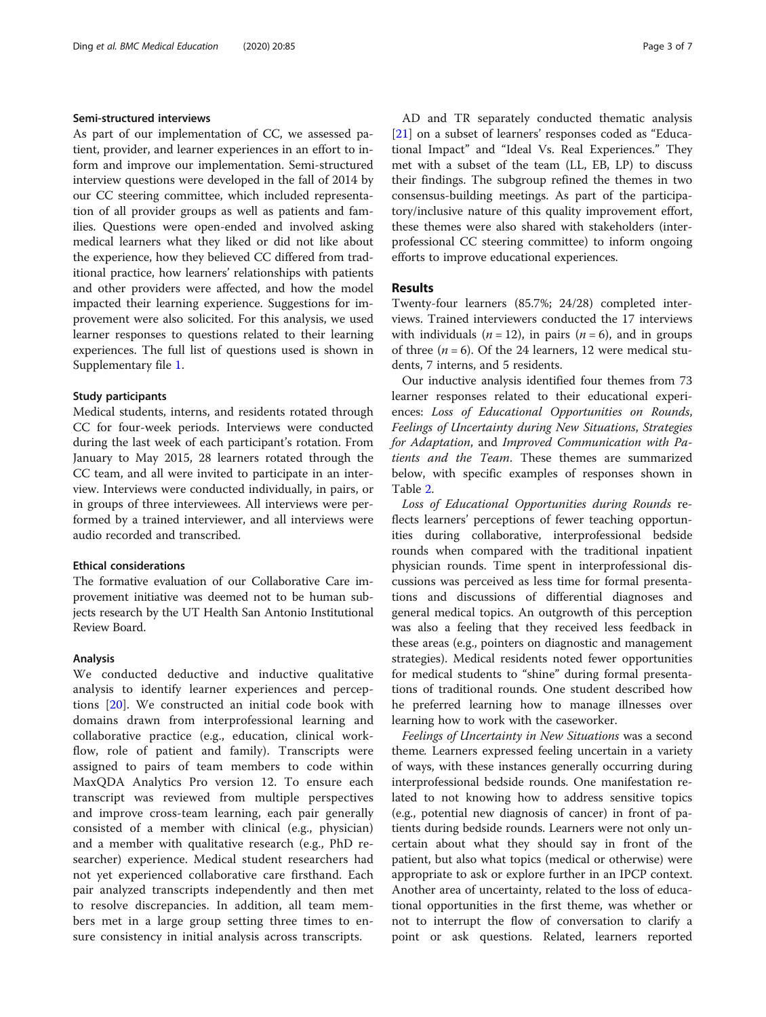# Semi-structured interviews

As part of our implementation of CC, we assessed patient, provider, and learner experiences in an effort to inform and improve our implementation. Semi-structured interview questions were developed in the fall of 2014 by our CC steering committee, which included representation of all provider groups as well as patients and families. Questions were open-ended and involved asking medical learners what they liked or did not like about the experience, how they believed CC differed from traditional practice, how learners' relationships with patients and other providers were affected, and how the model impacted their learning experience. Suggestions for improvement were also solicited. For this analysis, we used learner responses to questions related to their learning experiences. The full list of questions used is shown in Supplementary file [1](#page-5-0).

#### Study participants

Medical students, interns, and residents rotated through CC for four-week periods. Interviews were conducted during the last week of each participant's rotation. From January to May 2015, 28 learners rotated through the CC team, and all were invited to participate in an interview. Interviews were conducted individually, in pairs, or in groups of three interviewees. All interviews were performed by a trained interviewer, and all interviews were audio recorded and transcribed.

#### Ethical considerations

The formative evaluation of our Collaborative Care improvement initiative was deemed not to be human subjects research by the UT Health San Antonio Institutional Review Board.

# Analysis

We conducted deductive and inductive qualitative analysis to identify learner experiences and perceptions [\[20](#page-6-0)]. We constructed an initial code book with domains drawn from interprofessional learning and collaborative practice (e.g., education, clinical workflow, role of patient and family). Transcripts were assigned to pairs of team members to code within MaxQDA Analytics Pro version 12. To ensure each transcript was reviewed from multiple perspectives and improve cross-team learning, each pair generally consisted of a member with clinical (e.g., physician) and a member with qualitative research (e.g., PhD researcher) experience. Medical student researchers had not yet experienced collaborative care firsthand. Each pair analyzed transcripts independently and then met to resolve discrepancies. In addition, all team members met in a large group setting three times to ensure consistency in initial analysis across transcripts.

AD and TR separately conducted thematic analysis [[21\]](#page-6-0) on a subset of learners' responses coded as "Educational Impact" and "Ideal Vs. Real Experiences." They met with a subset of the team (LL, EB, LP) to discuss their findings. The subgroup refined the themes in two consensus-building meetings. As part of the participatory/inclusive nature of this quality improvement effort, these themes were also shared with stakeholders (interprofessional CC steering committee) to inform ongoing efforts to improve educational experiences.

# Results

Twenty-four learners (85.7%; 24/28) completed interviews. Trained interviewers conducted the 17 interviews with individuals ( $n = 12$ ), in pairs ( $n = 6$ ), and in groups of three  $(n = 6)$ . Of the 24 learners, 12 were medical students, 7 interns, and 5 residents.

Our inductive analysis identified four themes from 73 learner responses related to their educational experiences: Loss of Educational Opportunities on Rounds, Feelings of Uncertainty during New Situations, Strategies for Adaptation, and Improved Communication with Patients and the Team. These themes are summarized below, with specific examples of responses shown in Table [2.](#page-3-0)

Loss of Educational Opportunities during Rounds reflects learners' perceptions of fewer teaching opportunities during collaborative, interprofessional bedside rounds when compared with the traditional inpatient physician rounds. Time spent in interprofessional discussions was perceived as less time for formal presentations and discussions of differential diagnoses and general medical topics. An outgrowth of this perception was also a feeling that they received less feedback in these areas (e.g., pointers on diagnostic and management strategies). Medical residents noted fewer opportunities for medical students to "shine" during formal presentations of traditional rounds. One student described how he preferred learning how to manage illnesses over learning how to work with the caseworker.

Feelings of Uncertainty in New Situations was a second theme. Learners expressed feeling uncertain in a variety of ways, with these instances generally occurring during interprofessional bedside rounds. One manifestation related to not knowing how to address sensitive topics (e.g., potential new diagnosis of cancer) in front of patients during bedside rounds. Learners were not only uncertain about what they should say in front of the patient, but also what topics (medical or otherwise) were appropriate to ask or explore further in an IPCP context. Another area of uncertainty, related to the loss of educational opportunities in the first theme, was whether or not to interrupt the flow of conversation to clarify a point or ask questions. Related, learners reported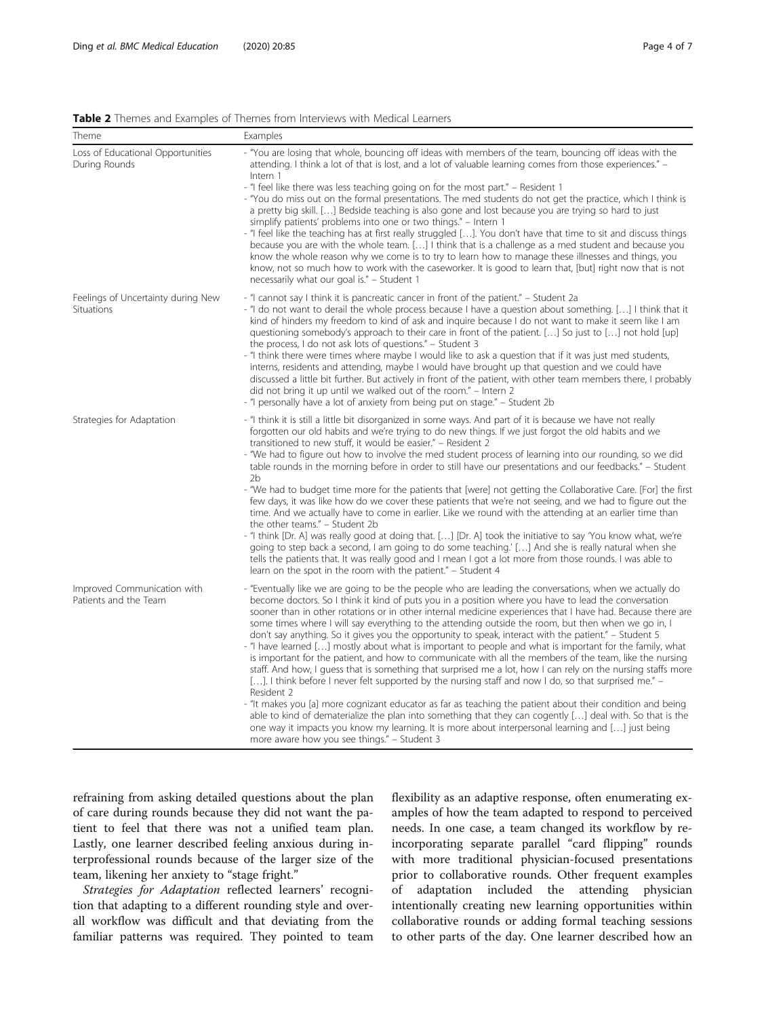### <span id="page-3-0"></span>Table 2 Themes and Examples of Themes from Interviews with Medical Learners

| Theme                                                | Examples                                                                                                                                                                                                                                                                                                                                                                                                                                                                                                                                                                                                                                                                                                                                                                                                                                                                                                                                                                                                                                                                                                                                                                                                                                                                                                                                                                                     |
|------------------------------------------------------|----------------------------------------------------------------------------------------------------------------------------------------------------------------------------------------------------------------------------------------------------------------------------------------------------------------------------------------------------------------------------------------------------------------------------------------------------------------------------------------------------------------------------------------------------------------------------------------------------------------------------------------------------------------------------------------------------------------------------------------------------------------------------------------------------------------------------------------------------------------------------------------------------------------------------------------------------------------------------------------------------------------------------------------------------------------------------------------------------------------------------------------------------------------------------------------------------------------------------------------------------------------------------------------------------------------------------------------------------------------------------------------------|
| Loss of Educational Opportunities<br>During Rounds   | - "You are losing that whole, bouncing off ideas with members of the team, bouncing off ideas with the<br>attending. I think a lot of that is lost, and a lot of valuable learning comes from those experiences." –<br>Intern 1<br>- "I feel like there was less teaching going on for the most part." – Resident 1<br>- "You do miss out on the formal presentations. The med students do not get the practice, which I think is<br>a pretty big skill. [] Bedside teaching is also gone and lost because you are trying so hard to just<br>simplify patients' problems into one or two things." - Intern 1<br>- "I feel like the teaching has at first really struggled []. You don't have that time to sit and discuss things<br>because you are with the whole team. [] I think that is a challenge as a med student and because you<br>know the whole reason why we come is to try to learn how to manage these illnesses and things, you<br>know, not so much how to work with the caseworker. It is good to learn that, [but] right now that is not<br>necessarily what our goal is." - Student 1                                                                                                                                                                                                                                                                                     |
| Feelings of Uncertainty during New<br>Situations     | - "I cannot say I think it is pancreatic cancer in front of the patient." – Student 2a<br>- "I do not want to derail the whole process because I have a question about something. [] I think that it<br>kind of hinders my freedom to kind of ask and inquire because I do not want to make it seem like I am<br>questioning somebody's approach to their care in front of the patient. [] So just to [] not hold [up]<br>the process, I do not ask lots of questions." – Student 3<br>- "I think there were times where maybe I would like to ask a question that if it was just med students,<br>interns, residents and attending, maybe I would have brought up that question and we could have<br>discussed a little bit further. But actively in front of the patient, with other team members there, I probably<br>did not bring it up until we walked out of the room." – Intern 2<br>- "I personally have a lot of anxiety from being put on stage." - Student 2b                                                                                                                                                                                                                                                                                                                                                                                                                    |
| Strategies for Adaptation                            | - "I think it is still a little bit disorganized in some ways. And part of it is because we have not really<br>forgotten our old habits and we're trying to do new things. If we just forgot the old habits and we<br>transitioned to new stuff, it would be easier." - Resident 2<br>- "We had to figure out how to involve the med student process of learning into our rounding, so we did<br>table rounds in the morning before in order to still have our presentations and our feedbacks." – Student<br>2 <sub>b</sub><br>- "We had to budget time more for the patients that [were] not getting the Collaborative Care. [For] the first<br>few days, it was like how do we cover these patients that we're not seeing, and we had to figure out the<br>time. And we actually have to come in earlier. Like we round with the attending at an earlier time than<br>the other teams." - Student 2b<br>- "I think [Dr. A] was really good at doing that. [] [Dr. A] took the initiative to say 'You know what, we're<br>going to step back a second, I am going to do some teaching.' [] And she is really natural when she<br>tells the patients that. It was really good and I mean I got a lot more from those rounds. I was able to<br>learn on the spot in the room with the patient." - Student 4                                                                                  |
| Improved Communication with<br>Patients and the Team | - "Eventually like we are going to be the people who are leading the conversations, when we actually do<br>become doctors. So I think it kind of puts you in a position where you have to lead the conversation<br>sooner than in other rotations or in other internal medicine experiences that I have had. Because there are<br>some times where I will say everything to the attending outside the room, but then when we go in, I<br>don't say anything. So it gives you the opportunity to speak, interact with the patient." – Student 5<br>- "I have learned [] mostly about what is important to people and what is important for the family, what<br>is important for the patient, and how to communicate with all the members of the team, like the nursing<br>staff. And how, I quess that is something that surprised me a lot, how I can rely on the nursing staffs more<br>[]. I think before I never felt supported by the nursing staff and now I do, so that surprised me." –<br>Resident 2<br>- "It makes you [a] more cognizant educator as far as teaching the patient about their condition and being<br>able to kind of dematerialize the plan into something that they can cogently [] deal with. So that is the<br>one way it impacts you know my learning. It is more about interpersonal learning and [] just being<br>more aware how you see things." - Student 3 |

refraining from asking detailed questions about the plan of care during rounds because they did not want the patient to feel that there was not a unified team plan. Lastly, one learner described feeling anxious during interprofessional rounds because of the larger size of the team, likening her anxiety to "stage fright."

Strategies for Adaptation reflected learners' recognition that adapting to a different rounding style and overall workflow was difficult and that deviating from the familiar patterns was required. They pointed to team flexibility as an adaptive response, often enumerating examples of how the team adapted to respond to perceived needs. In one case, a team changed its workflow by reincorporating separate parallel "card flipping" rounds with more traditional physician-focused presentations prior to collaborative rounds. Other frequent examples of adaptation included the attending physician intentionally creating new learning opportunities within collaborative rounds or adding formal teaching sessions to other parts of the day. One learner described how an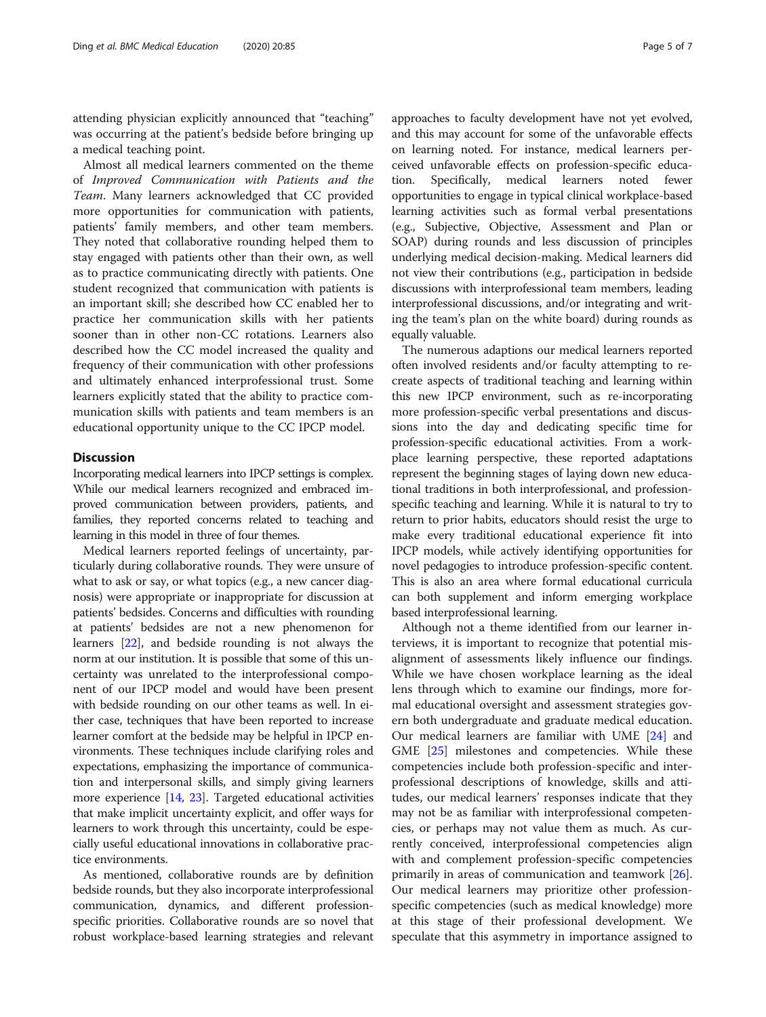attending physician explicitly announced that "teaching" was occurring at the patient's bedside before bringing up a medical teaching point.

Almost all medical learners commented on the theme of Improved Communication with Patients and the Team. Many learners acknowledged that CC provided more opportunities for communication with patients, patients' family members, and other team members. They noted that collaborative rounding helped them to stay engaged with patients other than their own, as well as to practice communicating directly with patients. One student recognized that communication with patients is an important skill; she described how CC enabled her to practice her communication skills with her patients sooner than in other non-CC rotations. Learners also described how the CC model increased the quality and frequency of their communication with other professions and ultimately enhanced interprofessional trust. Some learners explicitly stated that the ability to practice communication skills with patients and team members is an educational opportunity unique to the CC IPCP model.

#### **Discussion**

Incorporating medical learners into IPCP settings is complex. While our medical learners recognized and embraced improved communication between providers, patients, and families, they reported concerns related to teaching and learning in this model in three of four themes.

Medical learners reported feelings of uncertainty, particularly during collaborative rounds. They were unsure of what to ask or say, or what topics (e.g., a new cancer diagnosis) were appropriate or inappropriate for discussion at patients' bedsides. Concerns and difficulties with rounding at patients' bedsides are not a new phenomenon for learners [\[22\]](#page-6-0), and bedside rounding is not always the norm at our institution. It is possible that some of this uncertainty was unrelated to the interprofessional component of our IPCP model and would have been present with bedside rounding on our other teams as well. In either case, techniques that have been reported to increase learner comfort at the bedside may be helpful in IPCP environments. These techniques include clarifying roles and expectations, emphasizing the importance of communication and interpersonal skills, and simply giving learners more experience [[14](#page-6-0), [23\]](#page-6-0). Targeted educational activities that make implicit uncertainty explicit, and offer ways for learners to work through this uncertainty, could be especially useful educational innovations in collaborative practice environments.

As mentioned, collaborative rounds are by definition bedside rounds, but they also incorporate interprofessional communication, dynamics, and different professionspecific priorities. Collaborative rounds are so novel that robust workplace-based learning strategies and relevant approaches to faculty development have not yet evolved, and this may account for some of the unfavorable effects on learning noted. For instance, medical learners perceived unfavorable effects on profession-specific education. Specifically, medical learners noted fewer opportunities to engage in typical clinical workplace-based learning activities such as formal verbal presentations (e.g., Subjective, Objective, Assessment and Plan or SOAP) during rounds and less discussion of principles underlying medical decision-making. Medical learners did not view their contributions (e.g., participation in bedside discussions with interprofessional team members, leading interprofessional discussions, and/or integrating and writing the team's plan on the white board) during rounds as equally valuable.

The numerous adaptions our medical learners reported often involved residents and/or faculty attempting to recreate aspects of traditional teaching and learning within this new IPCP environment, such as re-incorporating more profession-specific verbal presentations and discussions into the day and dedicating specific time for profession-specific educational activities. From a workplace learning perspective, these reported adaptations represent the beginning stages of laying down new educational traditions in both interprofessional, and professionspecific teaching and learning. While it is natural to try to return to prior habits, educators should resist the urge to make every traditional educational experience fit into IPCP models, while actively identifying opportunities for novel pedagogies to introduce profession-specific content. This is also an area where formal educational curricula can both supplement and inform emerging workplace based interprofessional learning.

Although not a theme identified from our learner interviews, it is important to recognize that potential misalignment of assessments likely influence our findings. While we have chosen workplace learning as the ideal lens through which to examine our findings, more formal educational oversight and assessment strategies govern both undergraduate and graduate medical education. Our medical learners are familiar with UME [[24\]](#page-6-0) and GME [\[25](#page-6-0)] milestones and competencies. While these competencies include both profession-specific and interprofessional descriptions of knowledge, skills and attitudes, our medical learners' responses indicate that they may not be as familiar with interprofessional competencies, or perhaps may not value them as much. As currently conceived, interprofessional competencies align with and complement profession-specific competencies primarily in areas of communication and teamwork [\[26](#page-6-0)]. Our medical learners may prioritize other professionspecific competencies (such as medical knowledge) more at this stage of their professional development. We speculate that this asymmetry in importance assigned to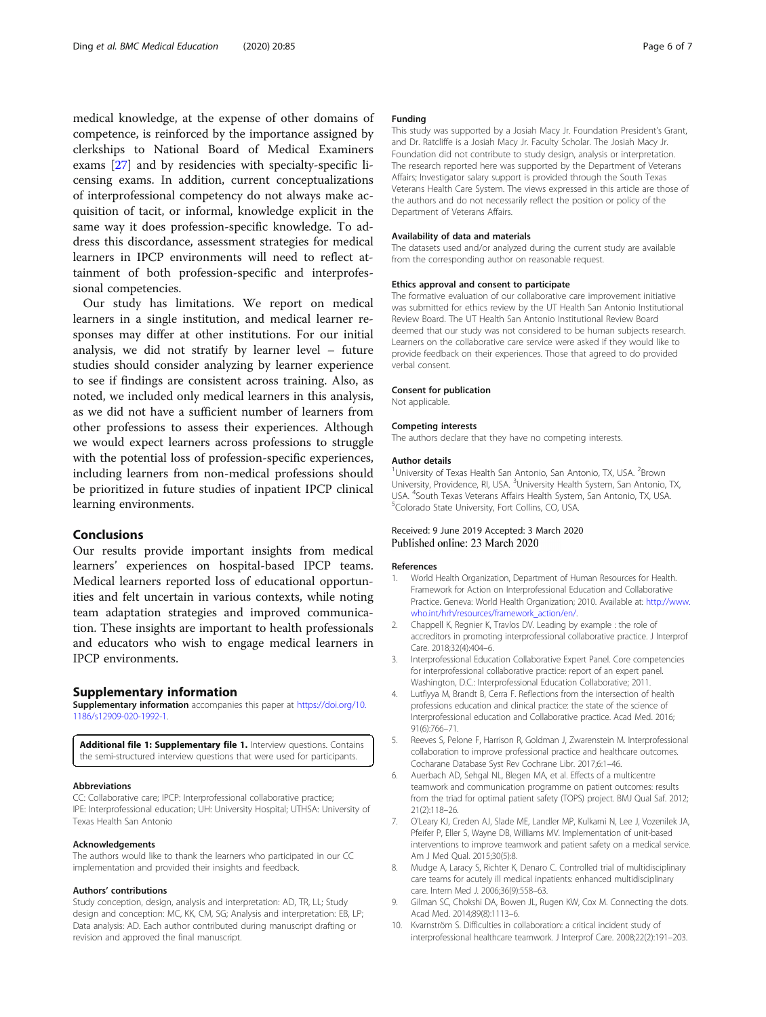<span id="page-5-0"></span>medical knowledge, at the expense of other domains of competence, is reinforced by the importance assigned by clerkships to National Board of Medical Examiners exams [\[27](#page-6-0)] and by residencies with specialty-specific licensing exams. In addition, current conceptualizations of interprofessional competency do not always make acquisition of tacit, or informal, knowledge explicit in the same way it does profession-specific knowledge. To address this discordance, assessment strategies for medical learners in IPCP environments will need to reflect attainment of both profession-specific and interprofessional competencies.

Our study has limitations. We report on medical learners in a single institution, and medical learner responses may differ at other institutions. For our initial analysis, we did not stratify by learner level – future studies should consider analyzing by learner experience to see if findings are consistent across training. Also, as noted, we included only medical learners in this analysis, as we did not have a sufficient number of learners from other professions to assess their experiences. Although we would expect learners across professions to struggle with the potential loss of profession-specific experiences, including learners from non-medical professions should be prioritized in future studies of inpatient IPCP clinical learning environments.

#### Conclusions

Our results provide important insights from medical learners' experiences on hospital-based IPCP teams. Medical learners reported loss of educational opportunities and felt uncertain in various contexts, while noting team adaptation strategies and improved communication. These insights are important to health professionals and educators who wish to engage medical learners in IPCP environments.

#### Supplementary information

Supplementary information accompanies this paper at [https://doi.org/10.](https://doi.org/10.1186/s12909-020-1992-1) [1186/s12909-020-1992-1.](https://doi.org/10.1186/s12909-020-1992-1)

Additional file 1: Supplementary file 1. Interview questions. Contains the semi-structured interview questions that were used for participants.

#### Abbreviations

CC: Collaborative care; IPCP: Interprofessional collaborative practice; IPE: Interprofessional education; UH: University Hospital; UTHSA: University of Texas Health San Antonio

#### Acknowledgements

The authors would like to thank the learners who participated in our CC implementation and provided their insights and feedback.

#### Authors' contributions

Study conception, design, analysis and interpretation: AD, TR, LL; Study design and conception: MC, KK, CM, SG; Analysis and interpretation: EB, LP; Data analysis: AD. Each author contributed during manuscript drafting or revision and approved the final manuscript.

#### Funding

This study was supported by a Josiah Macy Jr. Foundation President's Grant, and Dr. Ratcliffe is a Josiah Macy Jr. Faculty Scholar. The Josiah Macy Jr. Foundation did not contribute to study design, analysis or interpretation. The research reported here was supported by the Department of Veterans Affairs; Investigator salary support is provided through the South Texas Veterans Health Care System. The views expressed in this article are those of the authors and do not necessarily reflect the position or policy of the Department of Veterans Affairs.

#### Availability of data and materials

The datasets used and/or analyzed during the current study are available from the corresponding author on reasonable request.

#### Ethics approval and consent to participate

The formative evaluation of our collaborative care improvement initiative was submitted for ethics review by the UT Health San Antonio Institutional Review Board. The UT Health San Antonio Institutional Review Board deemed that our study was not considered to be human subjects research. Learners on the collaborative care service were asked if they would like to provide feedback on their experiences. Those that agreed to do provided verbal consent.

#### Consent for publication

Not applicable.

#### Competing interests

The authors declare that they have no competing interests.

#### Author details

<sup>1</sup>University of Texas Health San Antonio, San Antonio, TX, USA. <sup>2</sup>Brown University, Providence, RI, USA. <sup>3</sup>University Health System, San Antonio, TX USA. <sup>4</sup>South Texas Veterans Affairs Health System, San Antonio, TX, USA.<br><sup>5</sup>Colorado Stato University, Fort Collins, CO, USA. <sup>5</sup>Colorado State University, Fort Collins, CO, USA.

#### Received: 9 June 2019 Accepted: 3 March 2020 Published online: 23 March 2020

#### References

- 1. World Health Organization, Department of Human Resources for Health. Framework for Action on Interprofessional Education and Collaborative Practice. Geneva: World Health Organization; 2010. Available at: [http://www.](http://www.who.int/hrh/resources/framework_action/en/) [who.int/hrh/resources/framework\\_action/en/](http://www.who.int/hrh/resources/framework_action/en/).
- 2. Chappell K, Regnier K, Travlos DV. Leading by example : the role of accreditors in promoting interprofessional collaborative practice. J Interprof Care. 2018;32(4):404–6.
- 3. Interprofessional Education Collaborative Expert Panel. Core competencies for interprofessional collaborative practice: report of an expert panel. Washington, D.C.: Interprofessional Education Collaborative; 2011.
- 4. Lutfiyya M, Brandt B, Cerra F. Reflections from the intersection of health professions education and clinical practice: the state of the science of Interprofessional education and Collaborative practice. Acad Med. 2016; 91(6):766–71.
- 5. Reeves S, Pelone F, Harrison R, Goldman J, Zwarenstein M. Interprofessional collaboration to improve professional practice and healthcare outcomes. Cocharane Database Syst Rev Cochrane Libr. 2017;6:1–46.
- 6. Auerbach AD, Sehgal NL, Blegen MA, et al. Effects of a multicentre teamwork and communication programme on patient outcomes: results from the triad for optimal patient safety (TOPS) project. BMJ Qual Saf. 2012; 21(2):118–26.
- 7. O'Leary KJ, Creden AJ, Slade ME, Landler MP, Kulkarni N, Lee J, Vozenilek JA, Pfeifer P, Eller S, Wayne DB, Williams MV. Implementation of unit-based interventions to improve teamwork and patient safety on a medical service. Am J Med Qual. 2015;30(5):8.
- 8. Mudge A, Laracy S, Richter K, Denaro C. Controlled trial of multidisciplinary care teams for acutely ill medical inpatients: enhanced multidisciplinary care. Intern Med J. 2006;36(9):558–63.
- 9. Gilman SC, Chokshi DA, Bowen JL, Rugen KW, Cox M. Connecting the dots. Acad Med. 2014;89(8):1113–6.
- 10. Kvarnström S. Difficulties in collaboration: a critical incident study of interprofessional healthcare teamwork. J Interprof Care. 2008;22(2):191–203.